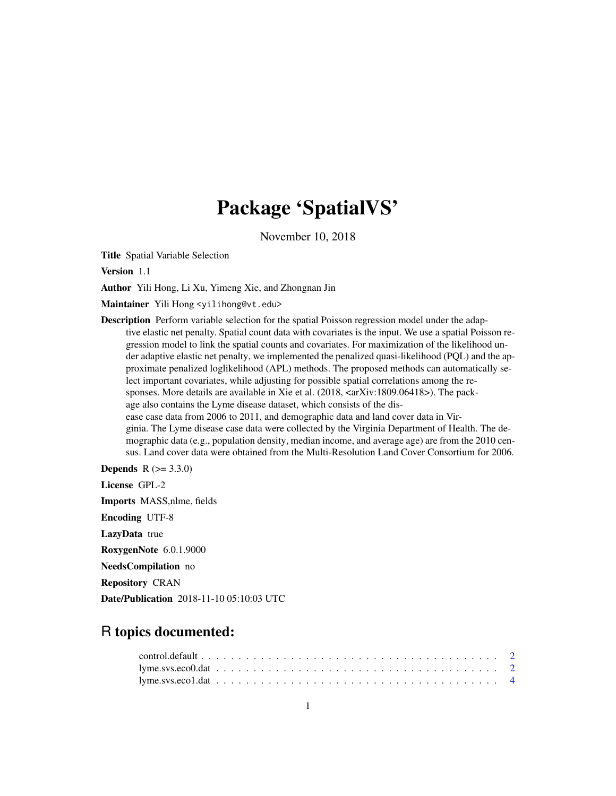## Package 'SpatialVS'

November 10, 2018

Title Spatial Variable Selection

Version 1.1

Author Yili Hong, Li Xu, Yimeng Xie, and Zhongnan Jin

Maintainer Yili Hong <yilihong@vt.edu>

Description Perform variable selection for the spatial Poisson regression model under the adaptive elastic net penalty. Spatial count data with covariates is the input. We use a spatial Poisson regression model to link the spatial counts and covariates. For maximization of the likelihood under adaptive elastic net penalty, we implemented the penalized quasi-likelihood (PQL) and the approximate penalized loglikelihood (APL) methods. The proposed methods can automatically select important covariates, while adjusting for possible spatial correlations among the responses. More details are available in Xie et al.  $(2018, \langle \text{arXiv:1809.06418}\rangle)$ . The package also contains the Lyme disease dataset, which consists of the disease case data from 2006 to 2011, and demographic data and land cover data in Virginia. The Lyme disease case data were collected by the Virginia Department of Health. The demographic data (e.g., population density, median income, and average age) are from the 2010 census. Land cover data were obtained from the Multi-Resolution Land Cover Consortium for 2006.

**Depends**  $R (= 3.3.0)$ 

License GPL-2

Imports MASS,nlme, fields

Encoding UTF-8

LazyData true

RoxygenNote 6.0.1.9000

NeedsCompilation no

Repository CRAN

Date/Publication 2018-11-10 05:10:03 UTC

### R topics documented: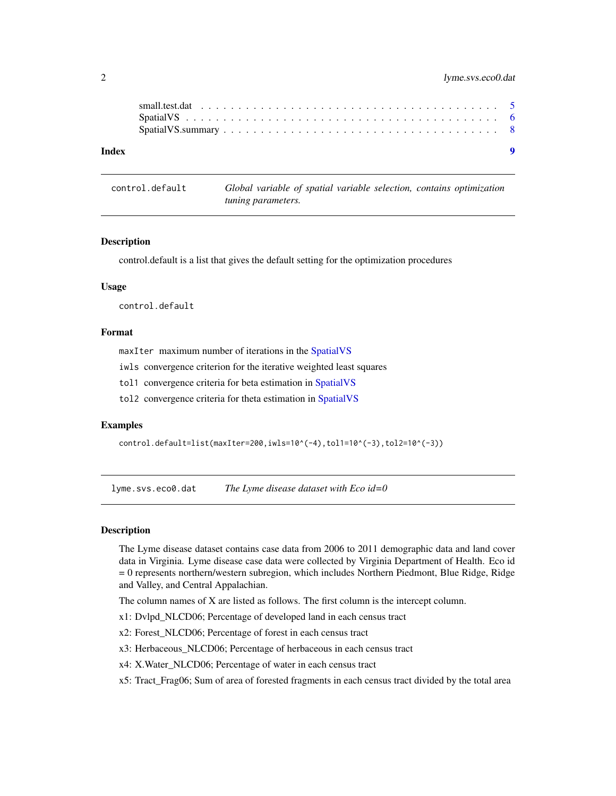<span id="page-1-0"></span>

| Index |  |  |  |  |  |  |  |  |  |  |  |  |  |  |  |  |  |
|-------|--|--|--|--|--|--|--|--|--|--|--|--|--|--|--|--|--|
|       |  |  |  |  |  |  |  |  |  |  |  |  |  |  |  |  |  |

control.default *Global variable of spatial variable selection, contains optimization tuning parameters.*

#### Description

control.default is a list that gives the default setting for the optimization procedures

#### Usage

control.default

#### Format

maxIter maximum number of iterations in the [SpatialVS](#page-5-1)

iwls convergence criterion for the iterative weighted least squares

tol1 convergence criteria for beta estimation in [SpatialVS](#page-5-1)

tol2 convergence criteria for theta estimation in [SpatialVS](#page-5-1)

#### Examples

```
control.default=list(maxIter=200,iwls=10^(-4),tol1=10^(-3),tol2=10^(-3))
```
lyme.svs.eco0.dat *The Lyme disease dataset with Eco id=0*

#### Description

The Lyme disease dataset contains case data from 2006 to 2011 demographic data and land cover data in Virginia. Lyme disease case data were collected by Virginia Department of Health. Eco id = 0 represents northern/western subregion, which includes Northern Piedmont, Blue Ridge, Ridge and Valley, and Central Appalachian.

The column names of X are listed as follows. The first column is the intercept column.

- x1: Dvlpd\_NLCD06; Percentage of developed land in each census tract
- x2: Forest\_NLCD06; Percentage of forest in each census tract
- x3: Herbaceous\_NLCD06; Percentage of herbaceous in each census tract
- x4: X.Water\_NLCD06; Percentage of water in each census tract
- x5: Tract\_Frag06; Sum of area of forested fragments in each census tract divided by the total area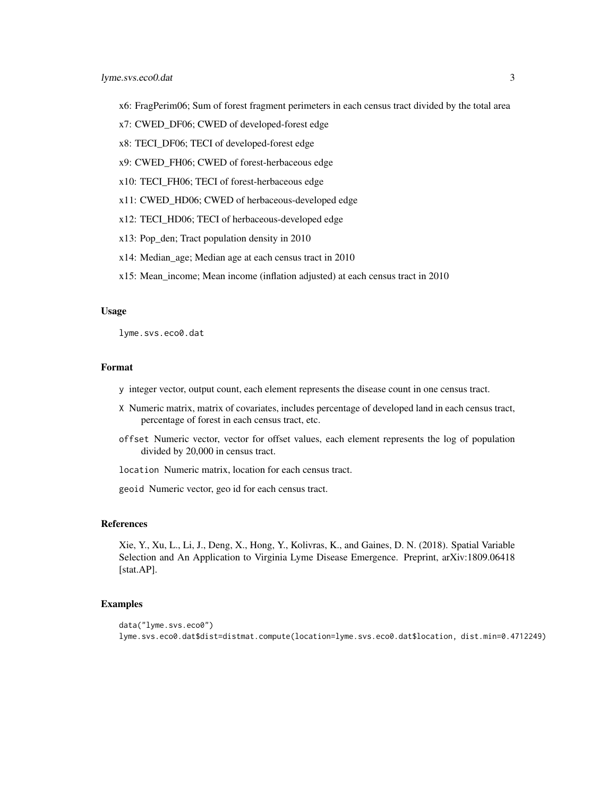- x6: FragPerim06; Sum of forest fragment perimeters in each census tract divided by the total area
- x7: CWED\_DF06; CWED of developed-forest edge
- x8: TECI\_DF06; TECI of developed-forest edge
- x9: CWED\_FH06; CWED of forest-herbaceous edge
- x10: TECI\_FH06; TECI of forest-herbaceous edge
- x11: CWED\_HD06; CWED of herbaceous-developed edge
- x12: TECI\_HD06; TECI of herbaceous-developed edge
- x13: Pop\_den; Tract population density in 2010
- x14: Median\_age; Median age at each census tract in 2010
- x15: Mean\_income; Mean income (inflation adjusted) at each census tract in 2010

#### Usage

lyme.svs.eco0.dat

#### Format

- y integer vector, output count, each element represents the disease count in one census tract.
- X Numeric matrix, matrix of covariates, includes percentage of developed land in each census tract, percentage of forest in each census tract, etc.
- offset Numeric vector, vector for offset values, each element represents the log of population divided by 20,000 in census tract.

location Numeric matrix, location for each census tract.

geoid Numeric vector, geo id for each census tract.

#### References

Xie, Y., Xu, L., Li, J., Deng, X., Hong, Y., Kolivras, K., and Gaines, D. N. (2018). Spatial Variable Selection and An Application to Virginia Lyme Disease Emergence. Preprint, arXiv:1809.06418 [stat.AP].

#### Examples

```
data("lyme.svs.eco0")
lyme.svs.eco0.dat$dist=distmat.compute(location=lyme.svs.eco0.dat$location, dist.min=0.4712249)
```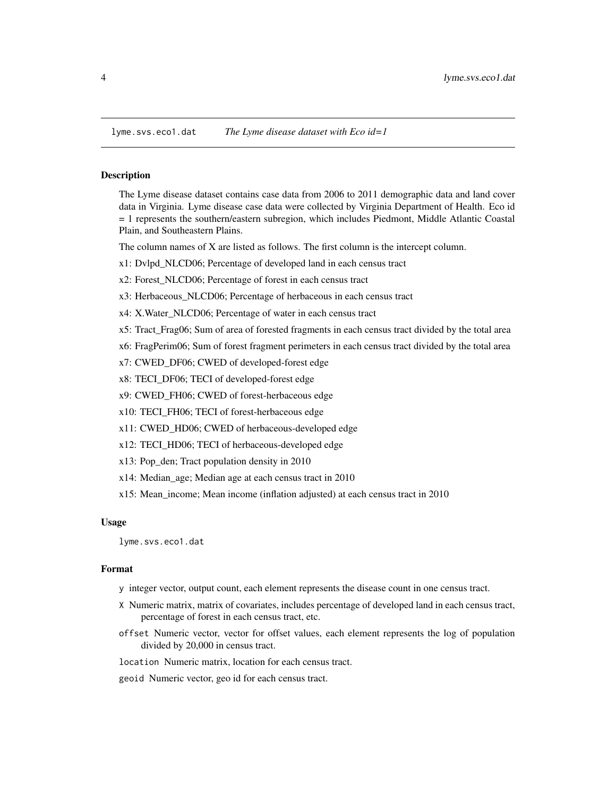<span id="page-3-0"></span>

#### Description

The Lyme disease dataset contains case data from 2006 to 2011 demographic data and land cover data in Virginia. Lyme disease case data were collected by Virginia Department of Health. Eco id = 1 represents the southern/eastern subregion, which includes Piedmont, Middle Atlantic Coastal Plain, and Southeastern Plains.

The column names of X are listed as follows. The first column is the intercept column.

- x1: Dvlpd\_NLCD06; Percentage of developed land in each census tract
- x2: Forest\_NLCD06; Percentage of forest in each census tract
- x3: Herbaceous\_NLCD06; Percentage of herbaceous in each census tract
- x4: X.Water\_NLCD06; Percentage of water in each census tract
- x5: Tract\_Frag06; Sum of area of forested fragments in each census tract divided by the total area
- x6: FragPerim06; Sum of forest fragment perimeters in each census tract divided by the total area
- x7: CWED\_DF06; CWED of developed-forest edge
- x8: TECI\_DF06; TECI of developed-forest edge
- x9: CWED\_FH06; CWED of forest-herbaceous edge
- x10: TECI\_FH06; TECI of forest-herbaceous edge
- x11: CWED\_HD06; CWED of herbaceous-developed edge
- x12: TECI\_HD06; TECI of herbaceous-developed edge
- x13: Pop\_den; Tract population density in 2010
- x14: Median\_age; Median age at each census tract in 2010
- x15: Mean\_income; Mean income (inflation adjusted) at each census tract in 2010

#### Usage

lyme.svs.eco1.dat

#### Format

- y integer vector, output count, each element represents the disease count in one census tract.
- X Numeric matrix, matrix of covariates, includes percentage of developed land in each census tract, percentage of forest in each census tract, etc.
- offset Numeric vector, vector for offset values, each element represents the log of population divided by 20,000 in census tract.
- location Numeric matrix, location for each census tract.
- geoid Numeric vector, geo id for each census tract.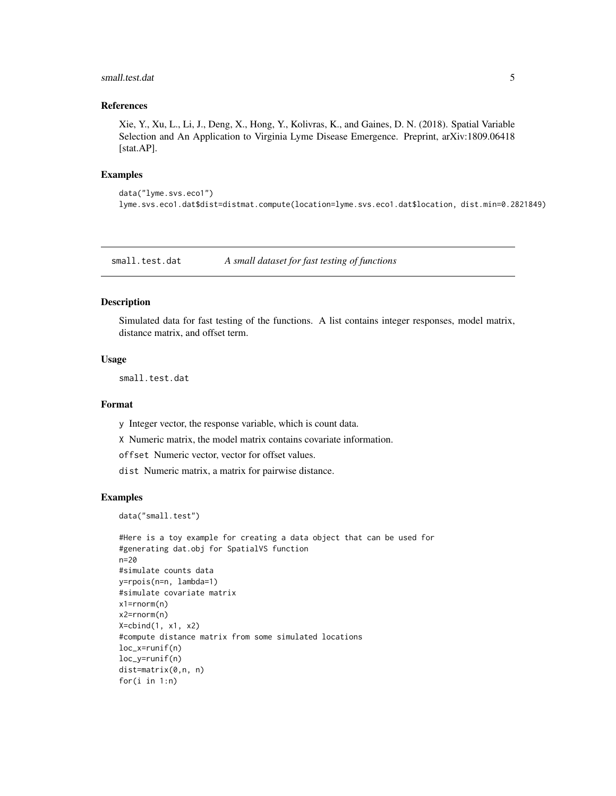#### <span id="page-4-0"></span>small.test.dat 5

#### References

Xie, Y., Xu, L., Li, J., Deng, X., Hong, Y., Kolivras, K., and Gaines, D. N. (2018). Spatial Variable Selection and An Application to Virginia Lyme Disease Emergence. Preprint, arXiv:1809.06418 [stat.AP].

#### Examples

```
data("lyme.svs.eco1")
lyme.svs.eco1.dat$dist=distmat.compute(location=lyme.svs.eco1.dat$location, dist.min=0.2821849)
```
small.test.dat *A small dataset for fast testing of functions*

#### Description

Simulated data for fast testing of the functions. A list contains integer responses, model matrix, distance matrix, and offset term.

#### Usage

small.test.dat

#### Format

y Integer vector, the response variable, which is count data.

X Numeric matrix, the model matrix contains covariate information.

offset Numeric vector, vector for offset values.

dist Numeric matrix, a matrix for pairwise distance.

#### Examples

data("small.test")

```
#Here is a toy example for creating a data object that can be used for
#generating dat.obj for SpatialVS function
n=20
#simulate counts data
y=rpois(n=n, lambda=1)
#simulate covariate matrix
x1=rnorm(n)
x2=rnorm(n)
X=cbind(1, x1, x2)
#compute distance matrix from some simulated locations
loc_x=runif(n)
loc_y=runif(n)
dist=matrix(0,n, n)
for(i in 1:n)
```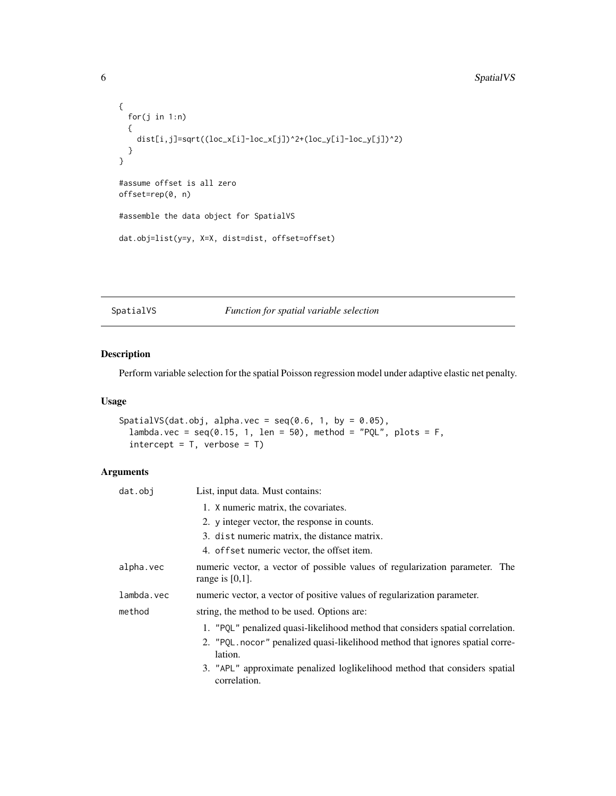```
{
  for(j in 1:n)
  {
   dist[i,j]=sqrt((loc_x[i]-loc_x[j])^2+(loc_y[i]-loc_y[j])^2)
  }
}
#assume offset is all zero
offset=rep(0, n)
#assemble the data object for SpatialVS
dat.obj=list(y=y, X=X, dist=dist, offset=offset)
```
#### <span id="page-5-1"></span>SpatialVS *Function for spatial variable selection*

#### Description

Perform variable selection for the spatial Poisson regression model under adaptive elastic net penalty.

#### Usage

```
SpatialVS(dat.obj, alpha.vec = seq(0.6, 1, by = 0.05),
  lambda.vec = seq(0.15, 1, len = 50), method = "PQL", plots = F,
  intercept = T, verbose = T)
```
#### Arguments

| dat.obj    | List, input data. Must contains:                                                                   |
|------------|----------------------------------------------------------------------------------------------------|
|            | 1. X numeric matrix, the covariates.                                                               |
|            | 2. y integer vector, the response in counts.                                                       |
|            | 3. dist numeric matrix, the distance matrix.                                                       |
|            | 4. of f set numeric vector, the offset item.                                                       |
| alpha.vec  | numeric vector, a vector of possible values of regularization parameter. The<br>range is $[0,1]$ . |
| lambda.vec | numeric vector, a vector of positive values of regularization parameter.                           |
| method     | string, the method to be used. Options are:                                                        |
|            | 1. "PQL" penalized quasi-likelihood method that considers spatial correlation.                     |
|            | 2. "PQL nocor" penalized quasi-likelihood method that ignores spatial corre-<br>lation.            |
|            | 3. "APL" approximate penalized loglikelihood method that considers spatial<br>correlation.         |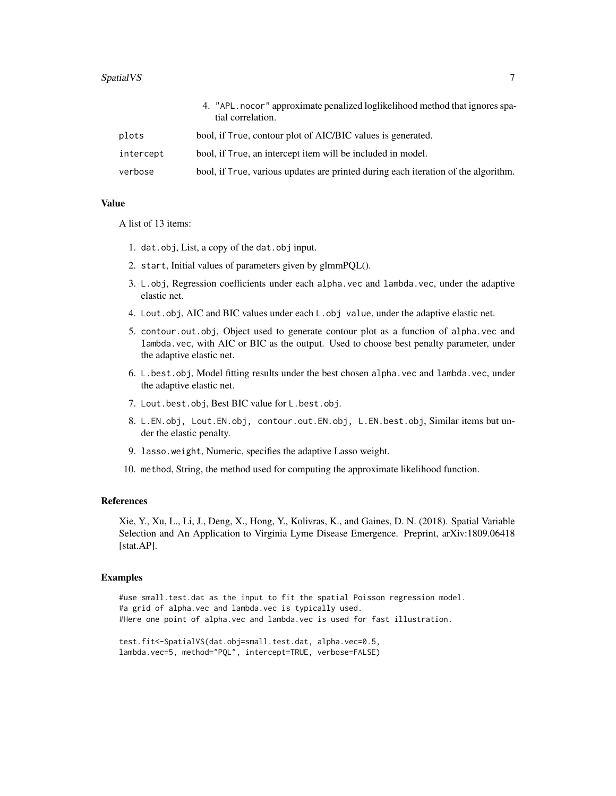#### SpatialVS 7

|           | 4. "APL nocor" approximate penalized loglikelihood method that ignores spa-<br>tial correlation. |
|-----------|--------------------------------------------------------------------------------------------------|
| plots     | bool, if True, contour plot of AIC/BIC values is generated.                                      |
| intercept | bool, if True, an intercept item will be included in model.                                      |
| verbose   | bool, if True, various updates are printed during each iteration of the algorithm.               |

#### Value

A list of 13 items:

- 1. dat.obj, List, a copy of the dat.obj input.
- 2. start, Initial values of parameters given by glmmPQL().
- 3. L.obj, Regression coefficients under each alpha.vec and lambda.vec, under the adaptive elastic net.
- 4. Lout.obj, AIC and BIC values under each L.obj value, under the adaptive elastic net.
- 5. contour.out.obj, Object used to generate contour plot as a function of alpha.vec and lambda.vec, with AIC or BIC as the output. Used to choose best penalty parameter, under the adaptive elastic net.
- 6. L.best.obj, Model fitting results under the best chosen alpha.vec and lambda.vec, under the adaptive elastic net.
- 7. Lout.best.obj, Best BIC value for L.best.obj.
- 8. L.EN.obj, Lout.EN.obj, contour.out.EN.obj, L.EN.best.obj, Similar items but under the elastic penalty.
- 9. lasso.weight, Numeric, specifies the adaptive Lasso weight.
- 10. method, String, the method used for computing the approximate likelihood function.

#### References

Xie, Y., Xu, L., Li, J., Deng, X., Hong, Y., Kolivras, K., and Gaines, D. N. (2018). Spatial Variable Selection and An Application to Virginia Lyme Disease Emergence. Preprint, arXiv:1809.06418 [stat.AP].

#### Examples

#use small.test.dat as the input to fit the spatial Poisson regression model. #a grid of alpha.vec and lambda.vec is typically used. #Here one point of alpha.vec and lambda.vec is used for fast illustration.

```
test.fit<-SpatialVS(dat.obj=small.test.dat, alpha.vec=0.5,
lambda.vec=5, method="PQL", intercept=TRUE, verbose=FALSE)
```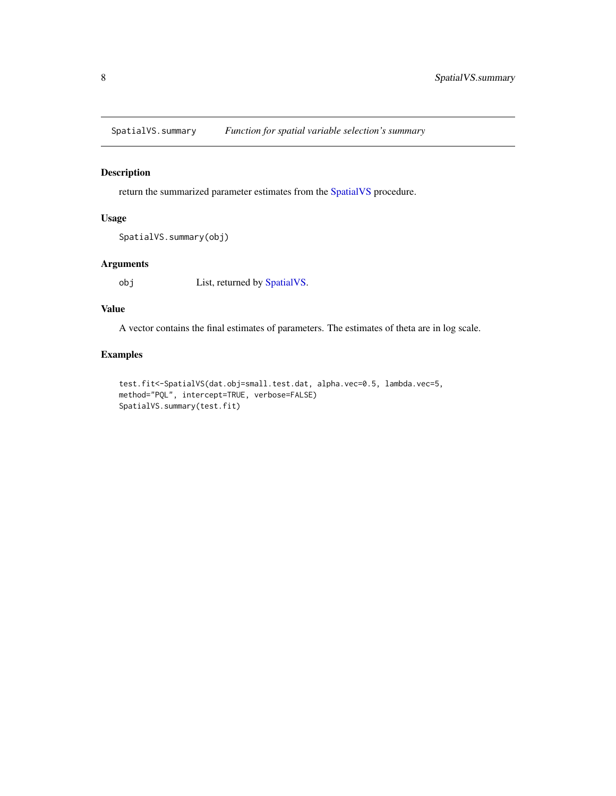<span id="page-7-0"></span>SpatialVS.summary *Function for spatial variable selection's summary*

#### Description

return the summarized parameter estimates from the [SpatialVS](#page-5-1) procedure.

#### Usage

```
SpatialVS.summary(obj)
```
#### Arguments

obj List, returned by [SpatialVS.](#page-5-1)

#### Value

A vector contains the final estimates of parameters. The estimates of theta are in log scale.

#### Examples

```
test.fit<-SpatialVS(dat.obj=small.test.dat, alpha.vec=0.5, lambda.vec=5,
method="PQL", intercept=TRUE, verbose=FALSE)
SpatialVS.summary(test.fit)
```